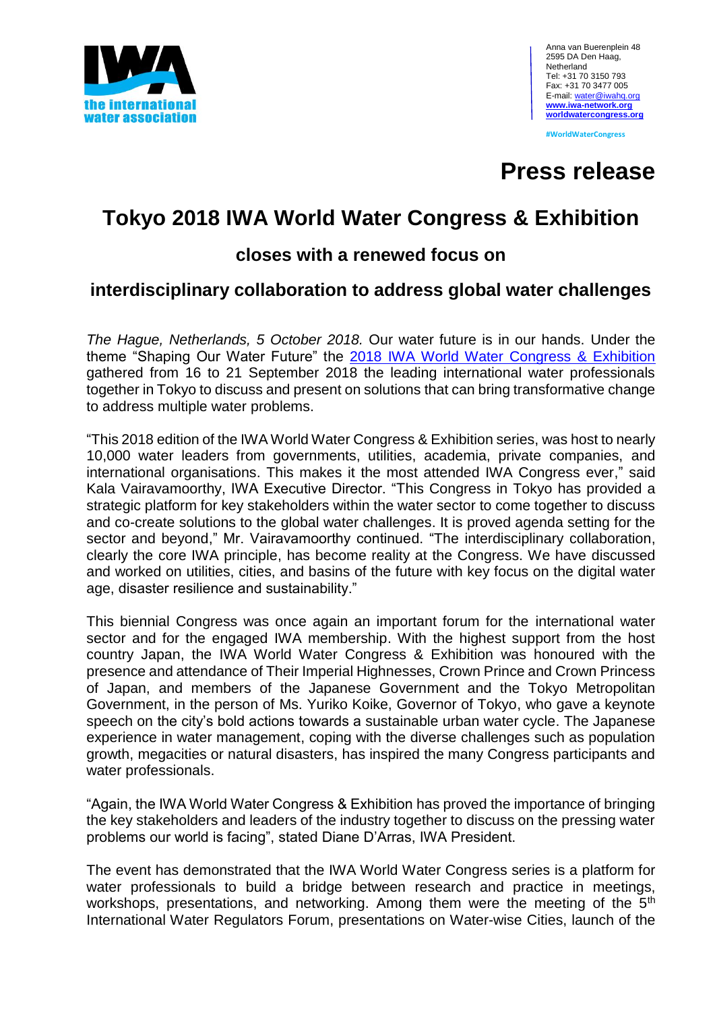

**#WorldWaterCongress**

# **Press release**

# **Tokyo 2018 IWA World Water Congress & Exhibition**

# **closes with a renewed focus on**

# **interdisciplinary collaboration to address global water challenges**

*The Hague, Netherlands, 5 October 2018.* Our water future is in our hands. Under the theme "Shaping Our Water Future" the 2018 [IWA World Water Congress & Exhibition](http://worldwatercongress.org/exhibition/) gathered from 16 to 21 September 2018 the leading international water professionals together in Tokyo to discuss and present on solutions that can bring transformative change to address multiple water problems.

"This 2018 edition of the IWA World Water Congress & Exhibition series, was host to nearly 10,000 water leaders from governments, utilities, academia, private companies, and international organisations. This makes it the most attended IWA Congress ever," said Kala Vairavamoorthy, IWA Executive Director. "This Congress in Tokyo has provided a strategic platform for key stakeholders within the water sector to come together to discuss and co-create solutions to the global water challenges. It is proved agenda setting for the sector and beyond," Mr. Vairavamoorthy continued. "The interdisciplinary collaboration, clearly the core IWA principle, has become reality at the Congress. We have discussed and worked on utilities, cities, and basins of the future with key focus on the digital water age, disaster resilience and sustainability."

This biennial Congress was once again an important forum for the international water sector and for the engaged IWA membership. With the highest support from the host country Japan, the IWA World Water Congress & Exhibition was honoured with the presence and attendance of Their Imperial Highnesses, Crown Prince and Crown Princess of Japan, and members of the Japanese Government and the Tokyo Metropolitan Government, in the person of Ms. Yuriko Koike, Governor of Tokyo, who gave a keynote speech on the city's bold actions towards a sustainable urban water cycle. The Japanese experience in water management, coping with the diverse challenges such as population growth, megacities or natural disasters, has inspired the many Congress participants and water professionals.

"Again, the IWA World Water Congress & Exhibition has proved the importance of bringing the key stakeholders and leaders of the industry together to discuss on the pressing water problems our world is facing", stated Diane D'Arras, IWA President.

The event has demonstrated that the IWA World Water Congress series is a platform for water professionals to build a bridge between research and practice in meetings, workshops, presentations, and networking. Among them were the meeting of the 5<sup>th</sup> International Water Regulators Forum, presentations on Water-wise Cities, launch of the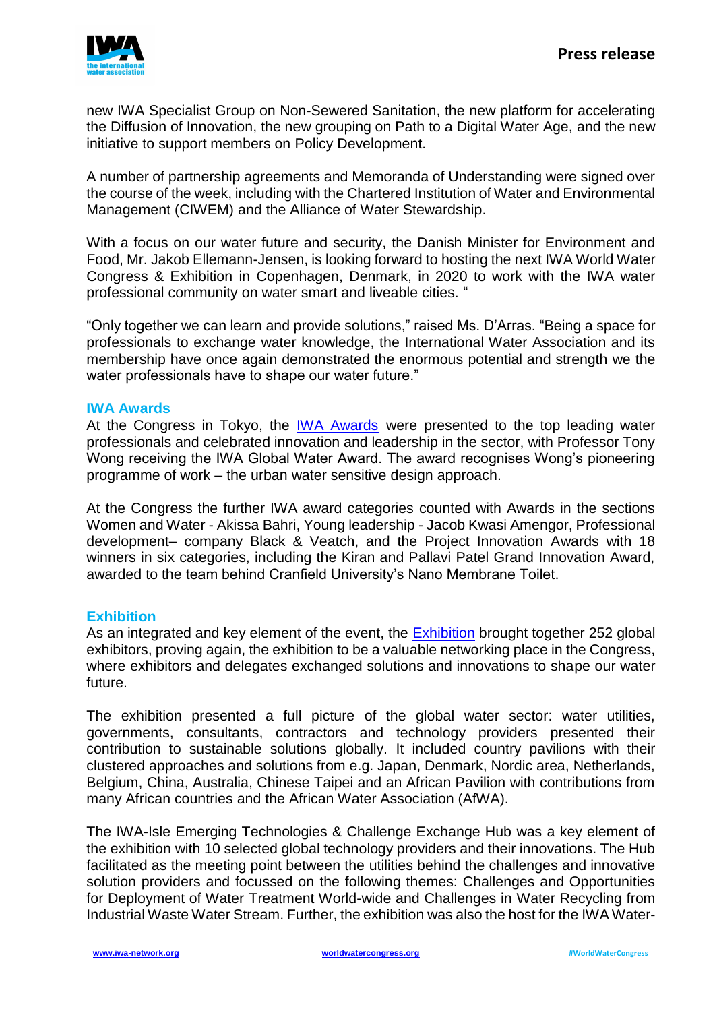

new IWA Specialist Group on Non-Sewered Sanitation, the new platform for accelerating the Diffusion of Innovation, the new grouping on Path to a Digital Water Age, and the new initiative to support members on Policy Development.

A number of partnership agreements and Memoranda of Understanding were signed over the course of the week, including with the Chartered Institution of Water and Environmental Management (CIWEM) and the Alliance of Water Stewardship.

With a focus on our water future and security, the Danish Minister for Environment and Food, Mr. Jakob Ellemann-Jensen, is looking forward to hosting the next IWA World Water Congress & Exhibition in Copenhagen, Denmark, in 2020 to work with the IWA water professional community on water smart and liveable cities. "

"Only together we can learn and provide solutions," raised Ms. D'Arras. "Being a space for professionals to exchange water knowledge, the International Water Association and its membership have once again demonstrated the enormous potential and strength we the water professionals have to shape our water future."

### **IWA Awards**

At the Congress in Tokyo, the **[IWA Awards](http://www.iwa-network.org/awards/)** were presented to the top leading water professionals and celebrated innovation and leadership in the sector, with Professor Tony Wong receiving the IWA Global Water Award. The award recognises Wong's pioneering programme of work – the urban water sensitive design approach.

At the Congress the further IWA award categories counted with Awards in the sections Women and Water - Akissa Bahri, Young leadership - Jacob Kwasi Amengor, Professional development– company Black & Veatch, and the Project Innovation Awards with 18 winners in six categories, including the Kiran and Pallavi Patel Grand Innovation Award, awarded to the team behind Cranfield University's Nano Membrane Toilet.

## **Exhibition**

As an integrated and key element of the event, the [Exhibition](http://worldwatercongress.org/exhibition/) brought together 252 global exhibitors, proving again, the exhibition to be a valuable networking place in the Congress, where exhibitors and delegates exchanged solutions and innovations to shape our water future.

The exhibition presented a full picture of the global water sector: water utilities, governments, consultants, contractors and technology providers presented their contribution to sustainable solutions globally. It included country pavilions with their clustered approaches and solutions from e.g. Japan, Denmark, Nordic area, Netherlands, Belgium, China, Australia, Chinese Taipei and an African Pavilion with contributions from many African countries and the African Water Association (AfWA).

The IWA-Isle Emerging Technologies & Challenge Exchange Hub was a key element of the exhibition with 10 selected global technology providers and their innovations. The Hub facilitated as the meeting point between the utilities behind the challenges and innovative solution providers and focussed on the following themes: Challenges and Opportunities for Deployment of Water Treatment World-wide and Challenges in Water Recycling from Industrial Waste Water Stream. Further, the exhibition was also the host for the IWA Water-